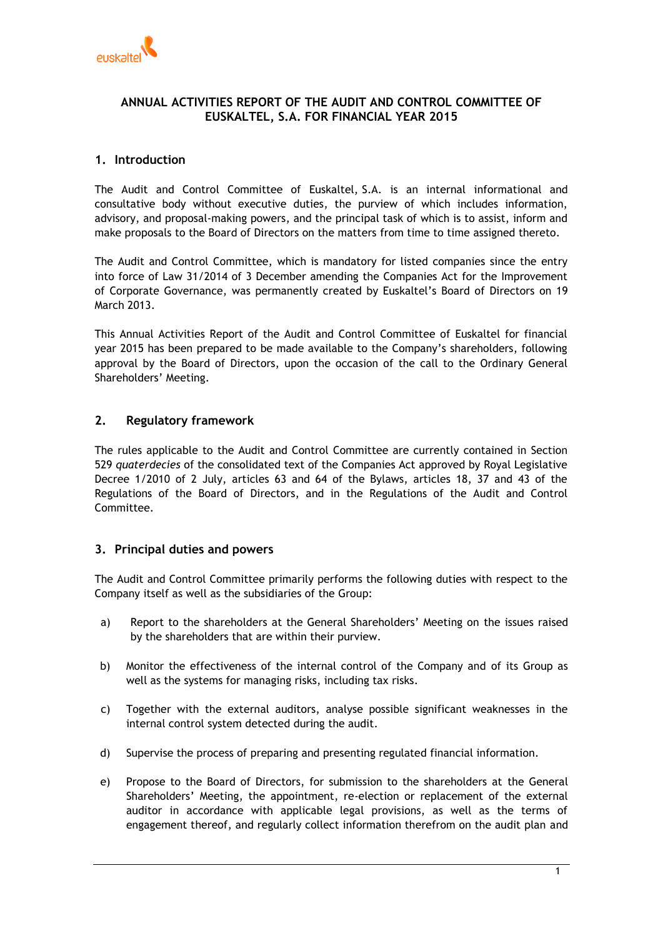

# **ANNUAL ACTIVITIES REPORT OF THE AUDIT AND CONTROL COMMITTEE OF EUSKALTEL, S.A. FOR FINANCIAL YEAR 2015**

# **1. Introduction**

The Audit and Control Committee of Euskaltel, S.A. is an internal informational and consultative body without executive duties, the purview of which includes information, advisory, and proposal-making powers, and the principal task of which is to assist, inform and make proposals to the Board of Directors on the matters from time to time assigned thereto.

The Audit and Control Committee, which is mandatory for listed companies since the entry into force of Law 31/2014 of 3 December amending the Companies Act for the Improvement of Corporate Governance, was permanently created by Euskaltel's Board of Directors on 19 March 2013.

This Annual Activities Report of the Audit and Control Committee of Euskaltel for financial year 2015 has been prepared to be made available to the Company's shareholders, following approval by the Board of Directors, upon the occasion of the call to the Ordinary General Shareholders' Meeting.

# **2. Regulatory framework**

The rules applicable to the Audit and Control Committee are currently contained in Section 529 *quaterdecies* of the consolidated text of the Companies Act approved by Royal Legislative Decree 1/2010 of 2 July, articles 63 and 64 of the Bylaws, articles 18, 37 and 43 of the Regulations of the Board of Directors, and in the Regulations of the Audit and Control Committee.

## **3. Principal duties and powers**

The Audit and Control Committee primarily performs the following duties with respect to the Company itself as well as the subsidiaries of the Group:

- a) Report to the shareholders at the General Shareholders' Meeting on the issues raised by the shareholders that are within their purview.
- b) Monitor the effectiveness of the internal control of the Company and of its Group as well as the systems for managing risks, including tax risks.
- c) Together with the external auditors, analyse possible significant weaknesses in the internal control system detected during the audit.
- d) Supervise the process of preparing and presenting regulated financial information.
- e) Propose to the Board of Directors, for submission to the shareholders at the General Shareholders' Meeting, the appointment, re-election or replacement of the external auditor in accordance with applicable legal provisions, as well as the terms of engagement thereof, and regularly collect information therefrom on the audit plan and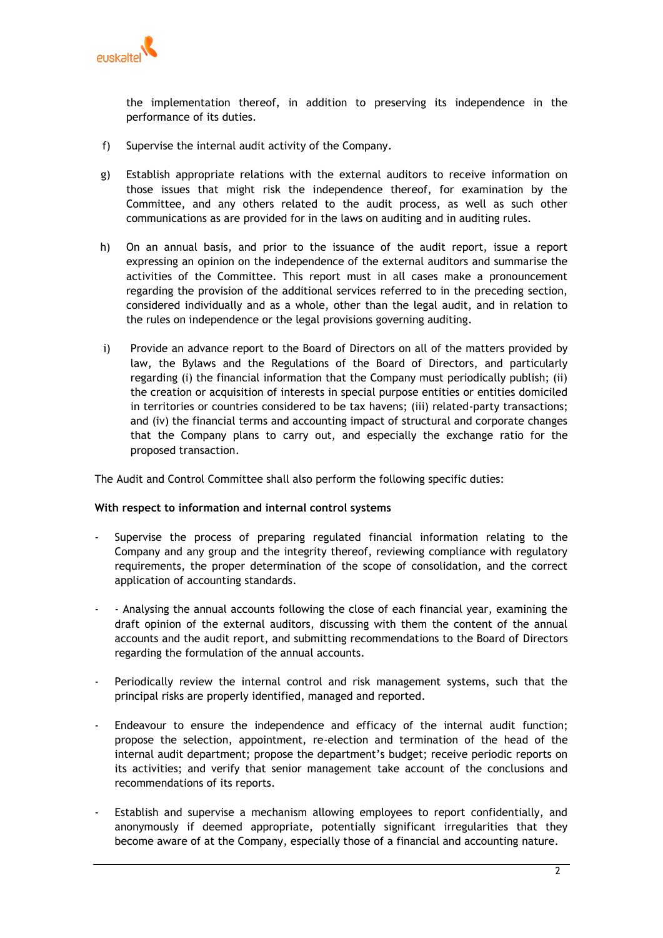

the implementation thereof, in addition to preserving its independence in the performance of its duties.

- f) Supervise the internal audit activity of the Company.
- g) Establish appropriate relations with the external auditors to receive information on those issues that might risk the independence thereof, for examination by the Committee, and any others related to the audit process, as well as such other communications as are provided for in the laws on auditing and in auditing rules.
- h) On an annual basis, and prior to the issuance of the audit report, issue a report expressing an opinion on the independence of the external auditors and summarise the activities of the Committee. This report must in all cases make a pronouncement regarding the provision of the additional services referred to in the preceding section, considered individually and as a whole, other than the legal audit, and in relation to the rules on independence or the legal provisions governing auditing.
- i) Provide an advance report to the Board of Directors on all of the matters provided by law, the Bylaws and the Regulations of the Board of Directors, and particularly regarding (i) the financial information that the Company must periodically publish; (ii) the creation or acquisition of interests in special purpose entities or entities domiciled in territories or countries considered to be tax havens; (iii) related-party transactions; and (iv) the financial terms and accounting impact of structural and corporate changes that the Company plans to carry out, and especially the exchange ratio for the proposed transaction.

The Audit and Control Committee shall also perform the following specific duties:

## **With respect to information and internal control systems**

- Supervise the process of preparing regulated financial information relating to the Company and any group and the integrity thereof, reviewing compliance with regulatory requirements, the proper determination of the scope of consolidation, and the correct application of accounting standards.
- - Analysing the annual accounts following the close of each financial year, examining the draft opinion of the external auditors, discussing with them the content of the annual accounts and the audit report, and submitting recommendations to the Board of Directors regarding the formulation of the annual accounts.
- Periodically review the internal control and risk management systems, such that the principal risks are properly identified, managed and reported.
- Endeavour to ensure the independence and efficacy of the internal audit function; propose the selection, appointment, re-election and termination of the head of the internal audit department; propose the department's budget; receive periodic reports on its activities; and verify that senior management take account of the conclusions and recommendations of its reports.
- Establish and supervise a mechanism allowing employees to report confidentially, and anonymously if deemed appropriate, potentially significant irregularities that they become aware of at the Company, especially those of a financial and accounting nature.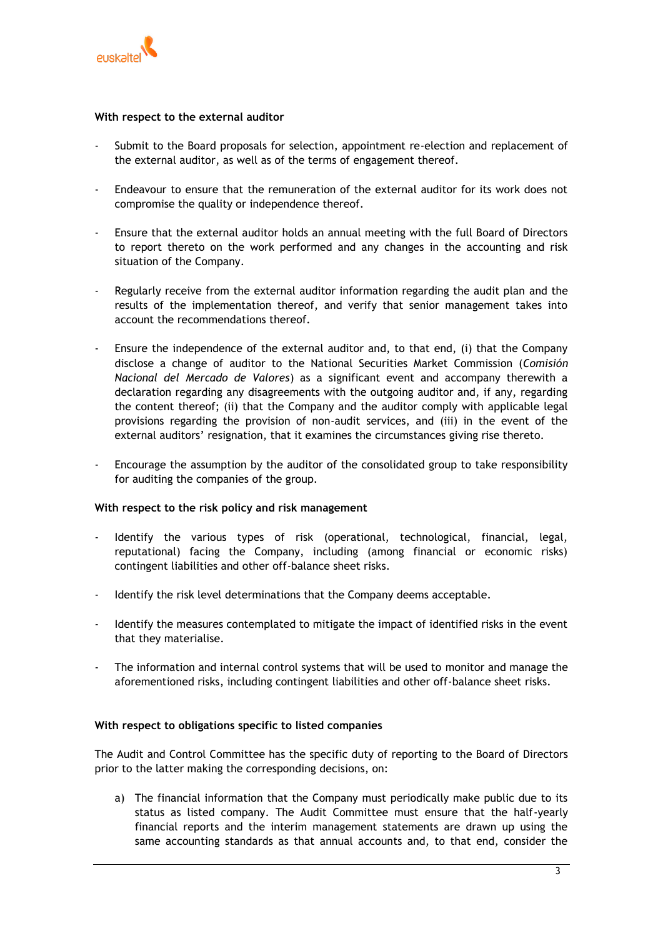

## **With respect to the external auditor**

- Submit to the Board proposals for selection, appointment re-election and replacement of the external auditor, as well as of the terms of engagement thereof.
- Endeavour to ensure that the remuneration of the external auditor for its work does not compromise the quality or independence thereof.
- Ensure that the external auditor holds an annual meeting with the full Board of Directors to report thereto on the work performed and any changes in the accounting and risk situation of the Company.
- Regularly receive from the external auditor information regarding the audit plan and the results of the implementation thereof, and verify that senior management takes into account the recommendations thereof.
- Ensure the independence of the external auditor and, to that end, (i) that the Company disclose a change of auditor to the National Securities Market Commission (*Comisión Nacional del Mercado de Valores*) as a significant event and accompany therewith a declaration regarding any disagreements with the outgoing auditor and, if any, regarding the content thereof; (ii) that the Company and the auditor comply with applicable legal provisions regarding the provision of non-audit services, and (iii) in the event of the external auditors' resignation, that it examines the circumstances giving rise thereto.
- Encourage the assumption by the auditor of the consolidated group to take responsibility for auditing the companies of the group.

#### **With respect to the risk policy and risk management**

- Identify the various types of risk (operational, technological, financial, legal, reputational) facing the Company, including (among financial or economic risks) contingent liabilities and other off-balance sheet risks.
- Identify the risk level determinations that the Company deems acceptable.
- Identify the measures contemplated to mitigate the impact of identified risks in the event that they materialise.
- The information and internal control systems that will be used to monitor and manage the aforementioned risks, including contingent liabilities and other off-balance sheet risks.

#### **With respect to obligations specific to listed companies**

The Audit and Control Committee has the specific duty of reporting to the Board of Directors prior to the latter making the corresponding decisions, on:

a) The financial information that the Company must periodically make public due to its status as listed company. The Audit Committee must ensure that the half-yearly financial reports and the interim management statements are drawn up using the same accounting standards as that annual accounts and, to that end, consider the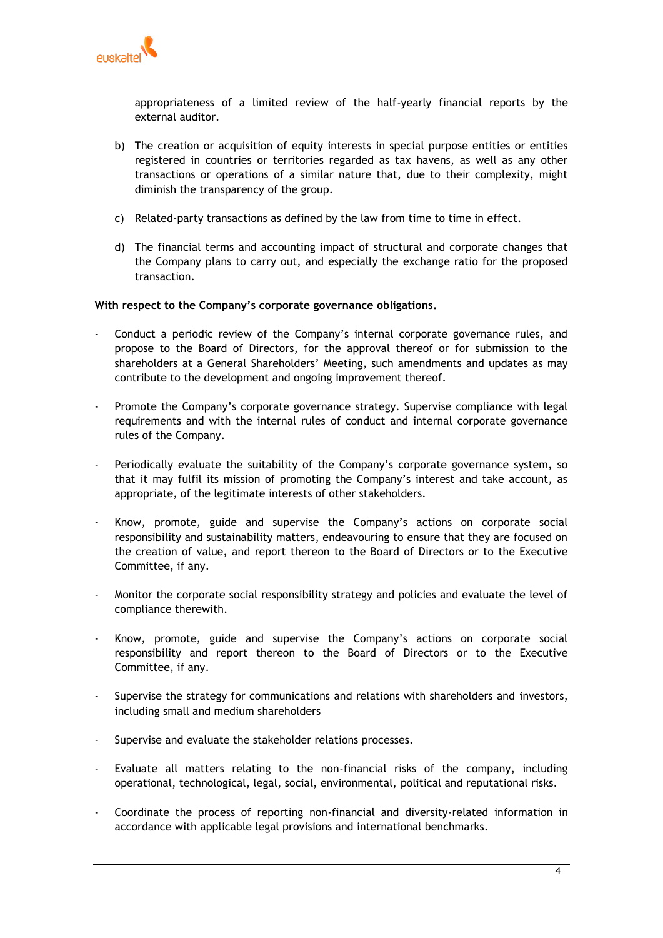

appropriateness of a limited review of the half-yearly financial reports by the external auditor.

- b) The creation or acquisition of equity interests in special purpose entities or entities registered in countries or territories regarded as tax havens, as well as any other transactions or operations of a similar nature that, due to their complexity, might diminish the transparency of the group.
- c) Related-party transactions as defined by the law from time to time in effect.
- d) The financial terms and accounting impact of structural and corporate changes that the Company plans to carry out, and especially the exchange ratio for the proposed transaction.

# **With respect to the Company's corporate governance obligations.**

- Conduct a periodic review of the Company's internal corporate governance rules, and propose to the Board of Directors, for the approval thereof or for submission to the shareholders at a General Shareholders' Meeting, such amendments and updates as may contribute to the development and ongoing improvement thereof.
- Promote the Company's corporate governance strategy. Supervise compliance with legal requirements and with the internal rules of conduct and internal corporate governance rules of the Company.
- Periodically evaluate the suitability of the Company's corporate governance system, so that it may fulfil its mission of promoting the Company's interest and take account, as appropriate, of the legitimate interests of other stakeholders.
- Know, promote, guide and supervise the Company's actions on corporate social responsibility and sustainability matters, endeavouring to ensure that they are focused on the creation of value, and report thereon to the Board of Directors or to the Executive Committee, if any.
- Monitor the corporate social responsibility strategy and policies and evaluate the level of compliance therewith.
- Know, promote, guide and supervise the Company's actions on corporate social responsibility and report thereon to the Board of Directors or to the Executive Committee, if any.
- Supervise the strategy for communications and relations with shareholders and investors, including small and medium shareholders
- Supervise and evaluate the stakeholder relations processes.
- Evaluate all matters relating to the non-financial risks of the company, including operational, technological, legal, social, environmental, political and reputational risks.
- Coordinate the process of reporting non-financial and diversity-related information in accordance with applicable legal provisions and international benchmarks.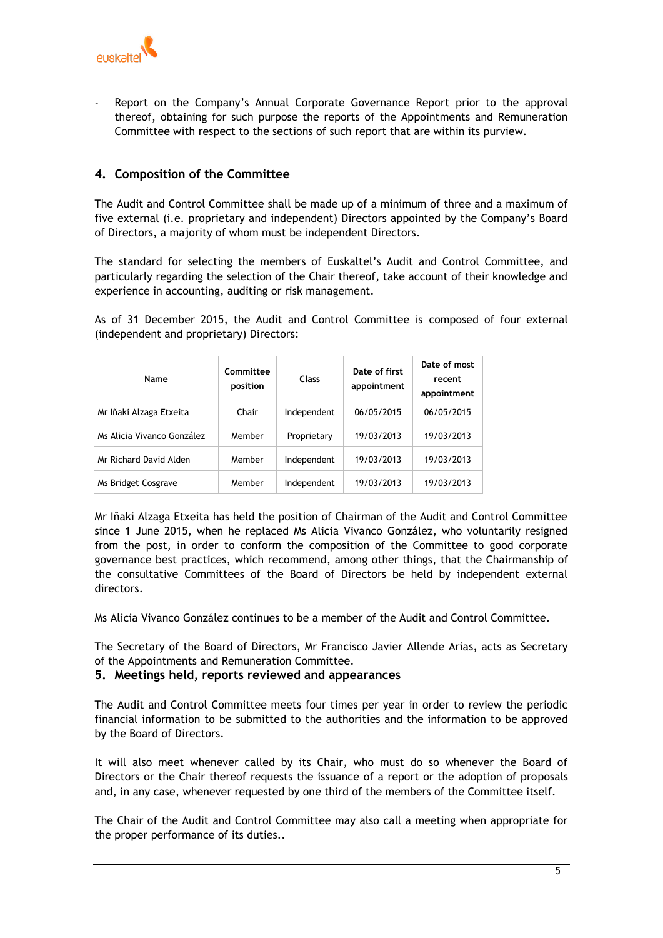

Report on the Company's Annual Corporate Governance Report prior to the approval thereof, obtaining for such purpose the reports of the Appointments and Remuneration Committee with respect to the sections of such report that are within its purview.

# **4. Composition of the Committee**

The Audit and Control Committee shall be made up of a minimum of three and a maximum of five external (i.e. proprietary and independent) Directors appointed by the Company's Board of Directors, a majority of whom must be independent Directors.

The standard for selecting the members of Euskaltel's Audit and Control Committee, and particularly regarding the selection of the Chair thereof, take account of their knowledge and experience in accounting, auditing or risk management.

As of 31 December 2015, the Audit and Control Committee is composed of four external (independent and proprietary) Directors:

| Name                       | Committee<br>position | <b>Class</b> | Date of first<br>appointment | Date of most<br>recent<br>appointment |
|----------------------------|-----------------------|--------------|------------------------------|---------------------------------------|
| Mr Iñaki Alzaga Etxeita    | Chair                 | Independent  | 06/05/2015                   | 06/05/2015                            |
| Ms Alicia Vivanco González | Member                | Proprietary  | 19/03/2013                   | 19/03/2013                            |
| Mr Richard David Alden     | Member                | Independent  | 19/03/2013                   | 19/03/2013                            |
| Ms Bridget Cosgrave        | Member                | Independent  | 19/03/2013                   | 19/03/2013                            |

Mr Iñaki Alzaga Etxeita has held the position of Chairman of the Audit and Control Committee since 1 June 2015, when he replaced Ms Alicia Vivanco González, who voluntarily resigned from the post, in order to conform the composition of the Committee to good corporate governance best practices, which recommend, among other things, that the Chairmanship of the consultative Committees of the Board of Directors be held by independent external directors.

Ms Alicia Vivanco González continues to be a member of the Audit and Control Committee.

The Secretary of the Board of Directors, Mr Francisco Javier Allende Arias, acts as Secretary of the Appointments and Remuneration Committee.

## **5. Meetings held, reports reviewed and appearances**

The Audit and Control Committee meets four times per year in order to review the periodic financial information to be submitted to the authorities and the information to be approved by the Board of Directors.

It will also meet whenever called by its Chair, who must do so whenever the Board of Directors or the Chair thereof requests the issuance of a report or the adoption of proposals and, in any case, whenever requested by one third of the members of the Committee itself.

The Chair of the Audit and Control Committee may also call a meeting when appropriate for the proper performance of its duties..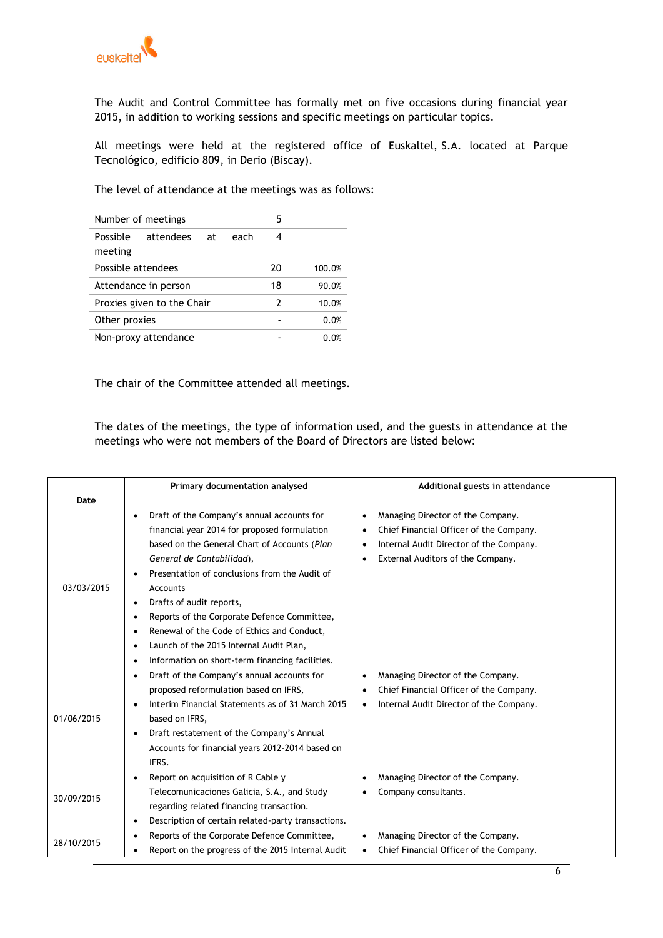

The Audit and Control Committee has formally met on five occasions during financial year 2015, in addition to working sessions and specific meetings on particular topics.

All meetings were held at the registered office of Euskaltel, S.A. located at Parque Tecnológico, edificio 809, in Derio (Biscay).

The level of attendance at the meetings was as follows:

| Number of meetings         |           |    |      | 5  |        |
|----------------------------|-----------|----|------|----|--------|
| Possible<br>meeting        | attendees | at | each | 4  |        |
| Possible attendees         |           |    |      | 20 | 100.0% |
| Attendance in person       |           |    |      | 18 | 90.0%  |
| Proxies given to the Chair |           |    |      | 2  | 10.0%  |
| Other proxies              |           |    |      |    | 0.0%   |
| Non-proxy attendance       |           |    |      |    | 0.0%   |

The chair of the Committee attended all meetings.

The dates of the meetings, the type of information used, and the guests in attendance at the meetings who were not members of the Board of Directors are listed below:

|            | Primary documentation analysed                                                                                                                                                                                                                                                                                                                                                                                                                                                        | Additional guests in attendance                                                                                                                              |  |  |
|------------|---------------------------------------------------------------------------------------------------------------------------------------------------------------------------------------------------------------------------------------------------------------------------------------------------------------------------------------------------------------------------------------------------------------------------------------------------------------------------------------|--------------------------------------------------------------------------------------------------------------------------------------------------------------|--|--|
| Date       |                                                                                                                                                                                                                                                                                                                                                                                                                                                                                       |                                                                                                                                                              |  |  |
| 03/03/2015 | Draft of the Company's annual accounts for<br>$\bullet$<br>financial year 2014 for proposed formulation<br>based on the General Chart of Accounts (Plan<br>General de Contabilidad),<br>Presentation of conclusions from the Audit of<br>Accounts<br>Drafts of audit reports,<br>$\bullet$<br>Reports of the Corporate Defence Committee,<br>Renewal of the Code of Ethics and Conduct,<br>Launch of the 2015 Internal Audit Plan,<br>Information on short-term financing facilities. | Managing Director of the Company.<br>Chief Financial Officer of the Company.<br>Internal Audit Director of the Company.<br>External Auditors of the Company. |  |  |
| 01/06/2015 | Draft of the Company's annual accounts for<br>proposed reformulation based on IFRS,<br>Interim Financial Statements as of 31 March 2015<br>based on IFRS,<br>Draft restatement of the Company's Annual<br>$\bullet$<br>Accounts for financial years 2012-2014 based on<br>IFRS.                                                                                                                                                                                                       | Managing Director of the Company.<br>Chief Financial Officer of the Company.<br>Internal Audit Director of the Company.<br>$\bullet$                         |  |  |
| 30/09/2015 | Report on acquisition of R Cable y<br>Telecomunicaciones Galicia, S.A., and Study<br>regarding related financing transaction.<br>Description of certain related-party transactions.<br>$\bullet$                                                                                                                                                                                                                                                                                      | Managing Director of the Company.<br>Company consultants.                                                                                                    |  |  |
| 28/10/2015 | Reports of the Corporate Defence Committee,<br>Report on the progress of the 2015 Internal Audit                                                                                                                                                                                                                                                                                                                                                                                      | Managing Director of the Company.<br>Chief Financial Officer of the Company.                                                                                 |  |  |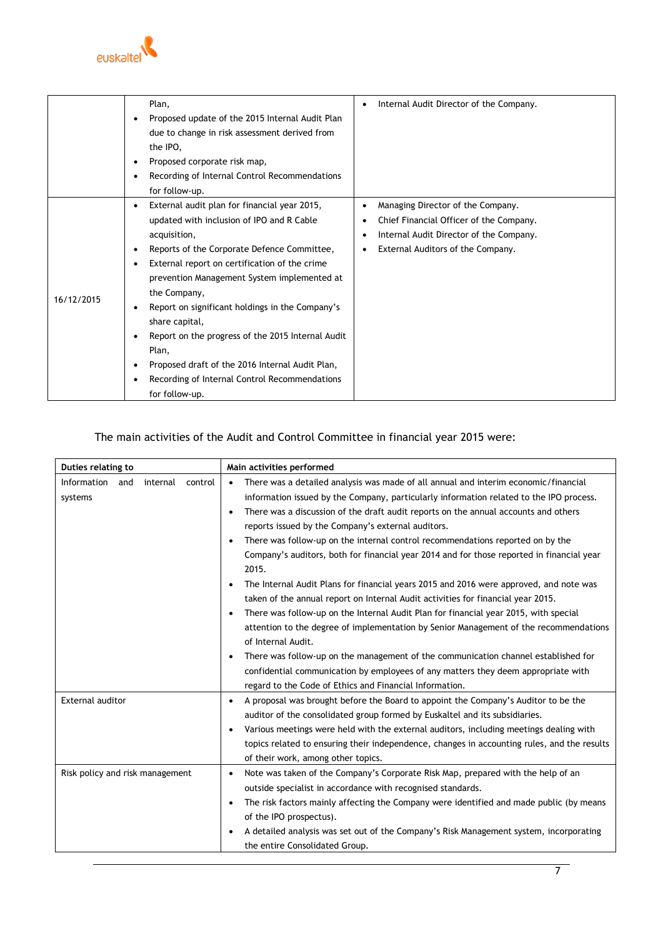

|            | Plan,                                                          | Internal Audit Director of the Company.              |
|------------|----------------------------------------------------------------|------------------------------------------------------|
|            | Proposed update of the 2015 Internal Audit Plan<br>٠           |                                                      |
|            | due to change in risk assessment derived from                  |                                                      |
|            | the IPO,                                                       |                                                      |
|            | Proposed corporate risk map,<br>٠                              |                                                      |
|            | Recording of Internal Control Recommendations<br>٠             |                                                      |
|            | for follow-up.                                                 |                                                      |
|            | External audit plan for financial year 2015,<br>٠              | Managing Director of the Company.                    |
|            | updated with inclusion of IPO and R Cable                      | Chief Financial Officer of the Company.              |
|            | acquisition,                                                   | Internal Audit Director of the Company.<br>$\bullet$ |
|            | Reports of the Corporate Defence Committee,<br>٠               | External Auditors of the Company.                    |
|            | External report on certification of the crime<br>$\bullet$     |                                                      |
|            | prevention Management System implemented at                    |                                                      |
| 16/12/2015 | the Company,                                                   |                                                      |
|            | Report on significant holdings in the Company's<br>٠           |                                                      |
|            | share capital,                                                 |                                                      |
|            | Report on the progress of the 2015 Internal Audit<br>$\bullet$ |                                                      |
|            | Plan,                                                          |                                                      |
|            | Proposed draft of the 2016 Internal Audit Plan,<br>٠           |                                                      |
|            | Recording of Internal Control Recommendations<br>$\bullet$     |                                                      |
|            | for follow-up.                                                 |                                                      |

# The main activities of the Audit and Control Committee in financial year 2015 were:

| Duties relating to                        | Main activities performed                                                                            |
|-------------------------------------------|------------------------------------------------------------------------------------------------------|
| Information<br>and<br>internal<br>control | There was a detailed analysis was made of all annual and interim economic/financial<br>$\bullet$     |
| systems                                   | information issued by the Company, particularly information related to the IPO process.              |
|                                           | There was a discussion of the draft audit reports on the annual accounts and others<br>$\bullet$     |
|                                           | reports issued by the Company's external auditors.                                                   |
|                                           | There was follow-up on the internal control recommendations reported on by the                       |
|                                           | Company's auditors, both for financial year 2014 and for those reported in financial year<br>2015.   |
|                                           | The Internal Audit Plans for financial years 2015 and 2016 were approved, and note was               |
|                                           | taken of the annual report on Internal Audit activities for financial year 2015.                     |
|                                           | There was follow-up on the Internal Audit Plan for financial year 2015, with special<br>$\bullet$    |
|                                           | attention to the degree of implementation by Senior Management of the recommendations                |
|                                           | of Internal Audit.                                                                                   |
|                                           | There was follow-up on the management of the communication channel established for<br>$\bullet$      |
|                                           | confidential communication by employees of any matters they deem appropriate with                    |
|                                           | regard to the Code of Ethics and Financial Information.                                              |
| External auditor                          | A proposal was brought before the Board to appoint the Company's Auditor to be the<br>$\bullet$      |
|                                           | auditor of the consolidated group formed by Euskaltel and its subsidiaries.                          |
|                                           | Various meetings were held with the external auditors, including meetings dealing with               |
|                                           | topics related to ensuring their independence, changes in accounting rules, and the results          |
|                                           | of their work, among other topics.                                                                   |
| Risk policy and risk management           | Note was taken of the Company's Corporate Risk Map, prepared with the help of an<br>$\bullet$        |
|                                           | outside specialist in accordance with recognised standards.                                          |
|                                           | The risk factors mainly affecting the Company were identified and made public (by means<br>$\bullet$ |
|                                           | of the IPO prospectus).                                                                              |
|                                           | A detailed analysis was set out of the Company's Risk Management system, incorporating<br>$\bullet$  |
|                                           | the entire Consolidated Group.                                                                       |